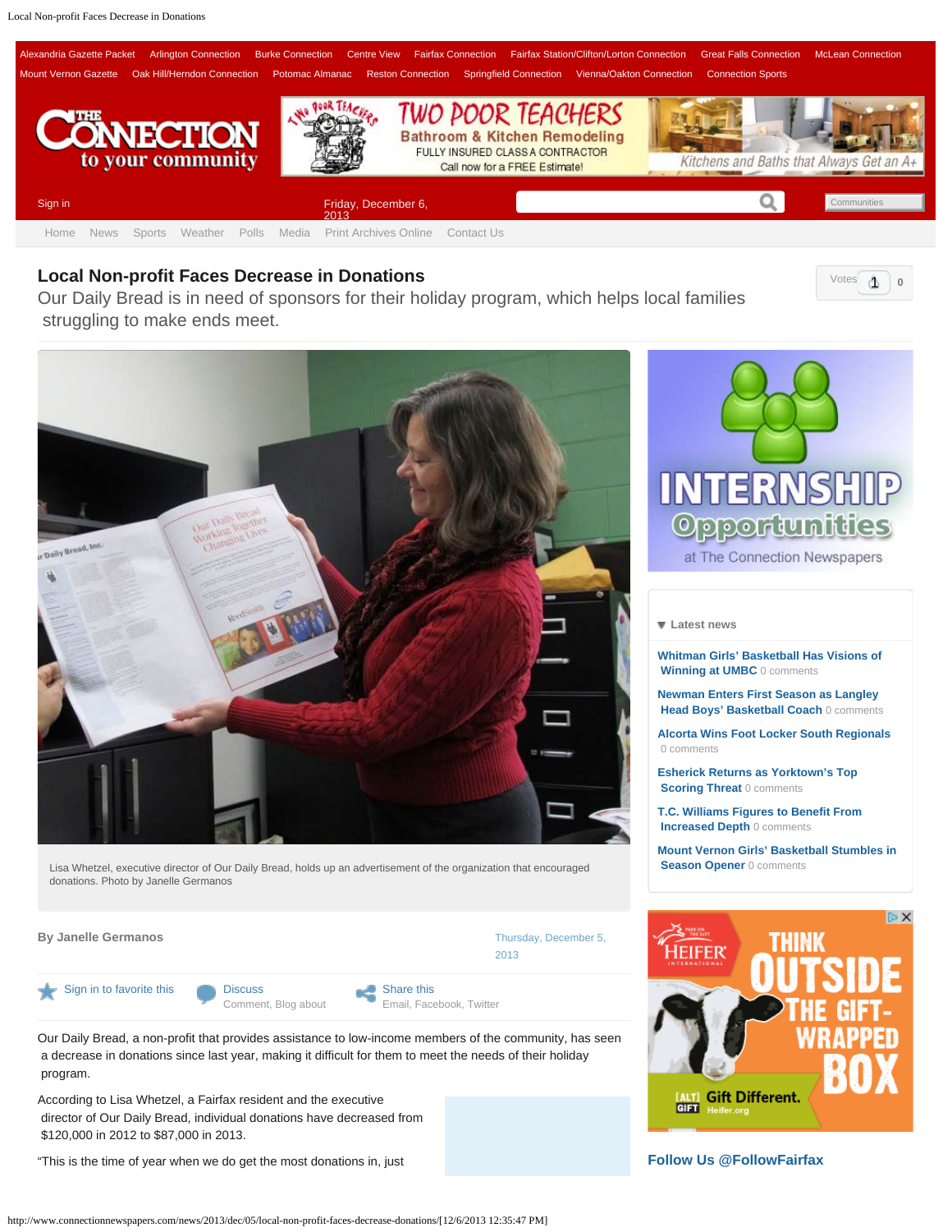<span id="page-0-0"></span>

## **Local Non-profit Faces Decrease in Donations 1999 12:00 12:00 12:00 12:00 12:00 12:00 12:00 12:00 12:00 12:00 12:00 12:00 12:00 12:00 12:00 12:00 12:00 12:00 12:00 12:00 12:00 12:00 12:00 12:00 12:00 12:00 12:00 12:00 1**

Our Daily Bread is in need of sponsors for their holiday program, which helps local families struggling to make ends meet.



Lisa Whetzel, executive director of Our Daily Bread, holds up an advertisement of the organization that encouraged donations. Photo by Janelle Germanos

**By Janelle Germanos [Thursday, December 5,](#page-0-0) 2004 Thursday, December 5, 2006 Thursday, December 5, 2006** 

[Sign in to favorite this](http://www.connectionnewspapers.com/accounts/login/?next=/news/2013/dec/05/local-non-profit-faces-decrease-donations/) **[Discuss](#page-0-0)** 

[Comment,](#page-0-0) [Blog about](http://www.connectionnewspapers.com/weblogs/post/?cid=125&oid=83913)

Share this [Email](http://www.connectionnewspapers.com/mailfriend/125/83913/285e7415ce/), [Facebook,](https://www.facebook.com/sharer.php?u=http://www.connectionnewspapers.com/news/2013/dec/05/local-non-profit-faces-decrease-donations/) [Twitter](http://twitter.com/home?status=http://www.connectionnewspapers.com/news/2013/dec/05/local-non-profit-faces-decrease-donations/)

 [2013](#page-0-0)

Our Daily Bread, a non-profit that provides assistance to low-income members of the community, has seen a decrease in donations since last year, making it difficult for them to meet the needs of their holiday program.

According to Lisa Whetzel, a Fairfax resident and the executive director of Our Daily Bread, individual donations have decreased from \$120,000 in 2012 to \$87,000 in 2013.

"This is the time of year when we do get the most donations in, just



 $\Phi$ 

## **[Latest news](#page-0-0)**

**[Whitman Girls' Basketball Has Visions of](http://www.connectionnewspapers.com/news/2013/dec/05/whitman-girls-basketball-has-visions-winning-umbc/)  [Winning at UMBC](http://www.connectionnewspapers.com/news/2013/dec/05/whitman-girls-basketball-has-visions-winning-umbc/)** 0 comments

**[Newman Enters First Season as Langley](http://www.connectionnewspapers.com/news/2013/dec/05/newman-enters-first-season-langley-head-boys-baske/)  [Head Boys' Basketball Coach](http://www.connectionnewspapers.com/news/2013/dec/05/newman-enters-first-season-langley-head-boys-baske/)** 0 comments

**[Alcorta Wins Foot Locker South Regionals](http://www.connectionnewspapers.com/news/2013/dec/05/alcorta-wins-foot-locker-south-regionals/)** 0 comments

**[Esherick Returns as Yorktown's Top](http://www.connectionnewspapers.com/news/2013/dec/05/esherick-returns-yorktowns-top-scoring-threat/) Scoring Threat 0 comments** 

**[T.C. Williams Figures to Benefit From](http://www.connectionnewspapers.com/news/2013/dec/05/tc-williams-figures-benefit-increased-depth/)  [Increased Depth](http://www.connectionnewspapers.com/news/2013/dec/05/tc-williams-figures-benefit-increased-depth/)** 0 comments

**[Mount Vernon Girls' Basketball Stumbles in](http://www.connectionnewspapers.com/news/2013/dec/05/mount-vernon-girls-basketball-stumbles-season-open/) Season Opener** 0 comments



**[Follow Us @FollowFairfax](https://twitter.com/FollowFairfax)**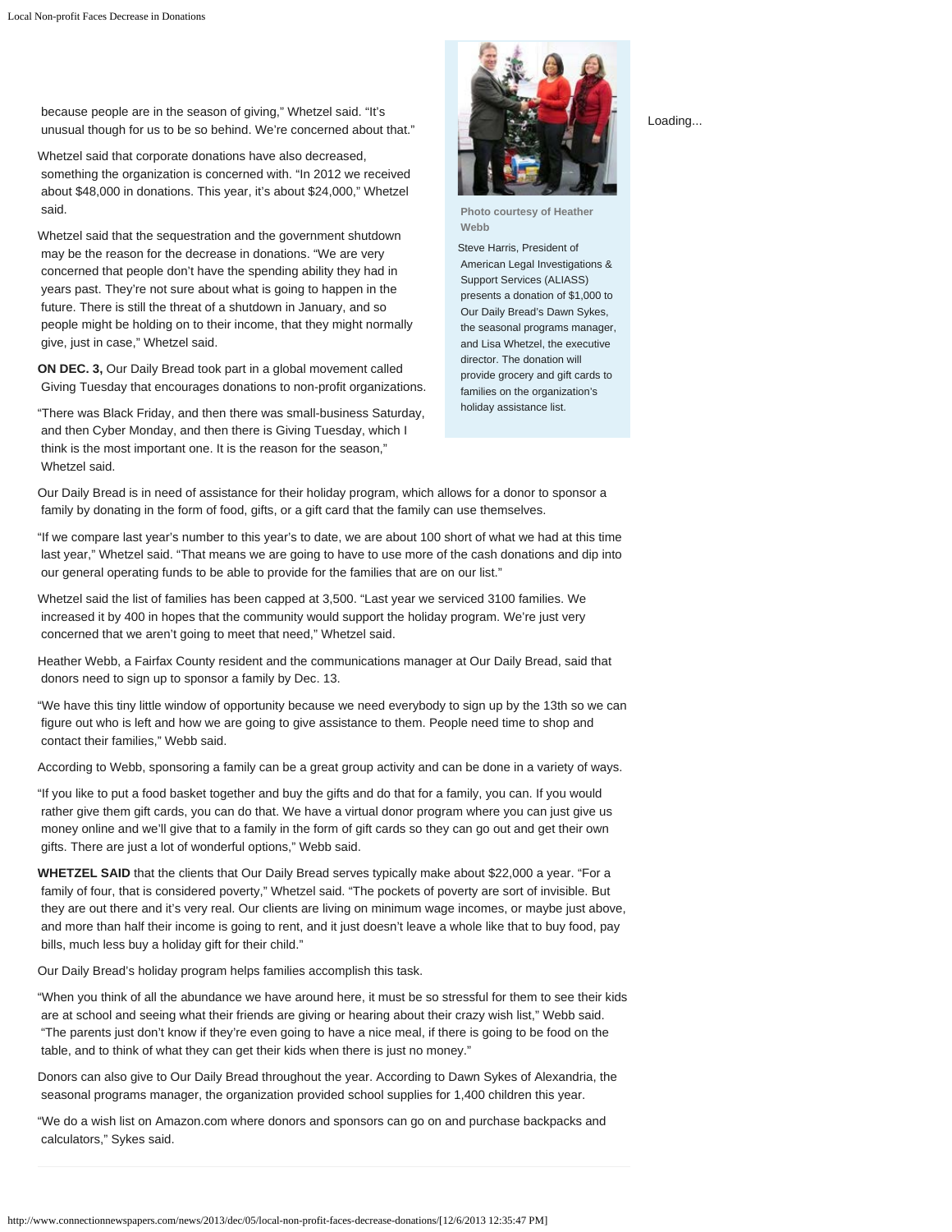because people are in the season of giving," Whetzel said. "It's unusual though for us to be so behind. We're concerned about that."

Whetzel said that corporate donations have also decreased, something the organization is concerned with. "In 2012 we received about \$48,000 in donations. This year, it's about \$24,000," Whetzel said.

Whetzel said that the sequestration and the government shutdown may be the reason for the decrease in donations. "We are very concerned that people don't have the spending ability they had in years past. They're not sure about what is going to happen in the future. There is still the threat of a shutdown in January, and so people might be holding on to their income, that they might normally give, just in case," Whetzel said.

**ON DEC. 3,** Our Daily Bread took part in a global movement called Giving Tuesday that encourages donations to non-profit organizations.

"There was Black Friday, and then there was small-business Saturday, and then Cyber Monday, and then there is Giving Tuesday, which I think is the most important one. It is the reason for the season," Whetzel said.

**Photo courtesy of Heather Webb**

Steve Harris, President of American Legal Investigations & Support Services (ALIASS) presents a donation of \$1,000 to Our Daily Bread's Dawn Sykes, the seasonal programs manager, and Lisa Whetzel, the executive director. The donation will provide grocery and gift cards to families on the organization's holiday assistance list.

Our Daily Bread is in need of assistance for their holiday program, which allows for a donor to sponsor a family by donating in the form of food, gifts, or a gift card that the family can use themselves.

"If we compare last year's number to this year's to date, we are about 100 short of what we had at this time last year," Whetzel said. "That means we are going to have to use more of the cash donations and dip into our general operating funds to be able to provide for the families that are on our list."

Whetzel said the list of families has been capped at 3,500. "Last year we serviced 3100 families. We increased it by 400 in hopes that the community would support the holiday program. We're just very concerned that we aren't going to meet that need," Whetzel said.

Heather Webb, a Fairfax County resident and the communications manager at Our Daily Bread, said that donors need to sign up to sponsor a family by Dec. 13.

"We have this tiny little window of opportunity because we need everybody to sign up by the 13th so we can figure out who is left and how we are going to give assistance to them. People need time to shop and contact their families," Webb said.

According to Webb, sponsoring a family can be a great group activity and can be done in a variety of ways.

"If you like to put a food basket together and buy the gifts and do that for a family, you can. If you would rather give them gift cards, you can do that. We have a virtual donor program where you can just give us money online and we'll give that to a family in the form of gift cards so they can go out and get their own gifts. There are just a lot of wonderful options," Webb said.

**WHETZEL SAID** that the clients that Our Daily Bread serves typically make about \$22,000 a year. "For a family of four, that is considered poverty," Whetzel said. "The pockets of poverty are sort of invisible. But they are out there and it's very real. Our clients are living on minimum wage incomes, or maybe just above, and more than half their income is going to rent, and it just doesn't leave a whole like that to buy food, pay bills, much less buy a holiday gift for their child."

Our Daily Bread's holiday program helps families accomplish this task.

"When you think of all the abundance we have around here, it must be so stressful for them to see their kids are at school and seeing what their friends are giving or hearing about their crazy wish list," Webb said. "The parents just don't know if they're even going to have a nice meal, if there is going to be food on the table, and to think of what they can get their kids when there is just no money."

Donors can also give to Our Daily Bread throughout the year. According to Dawn Sykes of Alexandria, the seasonal programs manager, the organization provided school supplies for 1,400 children this year.

"We do a wish list on Amazon.com where donors and sponsors can go on and purchase backpacks and calculators," Sykes said.

http://www.connectionnewspapers.com/news/2013/dec/05/local-non-profit-faces-decrease-donations/[12/6/2013 12:35:47 PM]

Loading...